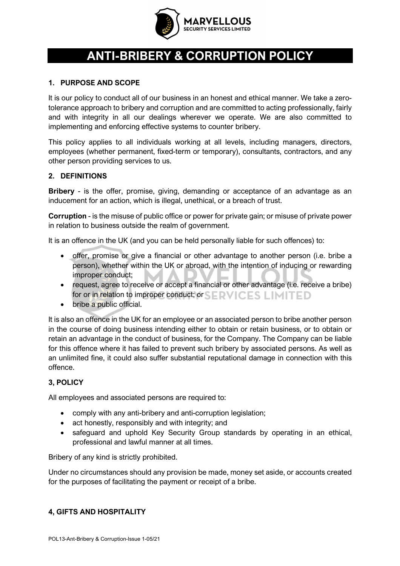

# **ANTI-BRIBERY & CORRUPTION POLICY**

## **1. PURPOSE AND SCOPE**

It is our policy to conduct all of our business in an honest and ethical manner. We take a zerotolerance approach to bribery and corruption and are committed to acting professionally, fairly and with integrity in all our dealings wherever we operate. We are also committed to implementing and enforcing effective systems to counter bribery.

This policy applies to all individuals working at all levels, including managers, directors, employees (whether permanent, fixed-term or temporary), consultants, contractors, and any other person providing services to us.

## **2. DEFINITIONS**

**Bribery** - is the offer, promise, giving, demanding or acceptance of an advantage as an inducement for an action, which is illegal, unethical, or a breach of trust.

**Corruption** - is the misuse of public office or power for private gain; or misuse of private power in relation to business outside the realm of government.

It is an offence in the UK (and you can be held personally liable for such offences) to:

- offer, promise or give a financial or other advantage to another person (i.e. bribe a person), whether within the UK or abroad, with the intention of inducing or rewarding improper conduct;
- request, agree to receive or accept a financial or other advantage (i.e. receive a bribe) for or in relation to improper conduct; or  $\leq$  **ERVICES LIMITED**
- bribe a public official.

It is also an offence in the UK for an employee or an associated person to bribe another person in the course of doing business intending either to obtain or retain business, or to obtain or retain an advantage in the conduct of business, for the Company. The Company can be liable for this offence where it has failed to prevent such bribery by associated persons. As well as an unlimited fine, it could also suffer substantial reputational damage in connection with this offence.

# **3, POLICY**

All employees and associated persons are required to:

- comply with any anti-bribery and anti-corruption legislation;
- act honestly, responsibly and with integrity; and
- safeguard and uphold Key Security Group standards by operating in an ethical, professional and lawful manner at all times.

Bribery of any kind is strictly prohibited.

Under no circumstances should any provision be made, money set aside, or accounts created for the purposes of facilitating the payment or receipt of a bribe.

#### **4, GIFTS AND HOSPITALITY**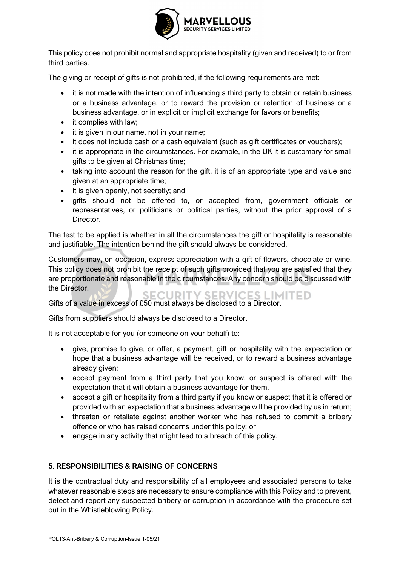

This policy does not prohibit normal and appropriate hospitality (given and received) to or from third parties.

The giving or receipt of gifts is not prohibited, if the following requirements are met:

- it is not made with the intention of influencing a third party to obtain or retain business or a business advantage, or to reward the provision or retention of business or a business advantage, or in explicit or implicit exchange for favors or benefits;
- it complies with law:
- it is given in our name, not in your name:
- it does not include cash or a cash equivalent (such as gift certificates or vouchers);
- it is appropriate in the circumstances. For example, in the UK it is customary for small gifts to be given at Christmas time;
- taking into account the reason for the gift, it is of an appropriate type and value and given at an appropriate time;
- it is given openly, not secretly; and
- gifts should not be offered to, or accepted from, government officials or representatives, or politicians or political parties, without the prior approval of a Director.

The test to be applied is whether in all the circumstances the gift or hospitality is reasonable and justifiable. The intention behind the gift should always be considered.

Customers may, on occasion, express appreciation with a gift of flowers, chocolate or wine. This policy does not prohibit the receipt of such gifts provided that you are satisfied that they are proportionate and reasonable in the circumstances. Any concern should be discussed with the Director.

**SECURITY SERVICES LIMITED** Gifts of a value in excess of £50 must always be disclosed to a Director.

Gifts from suppliers should always be disclosed to a Director.

It is not acceptable for you (or someone on your behalf) to:

- give, promise to give, or offer, a payment, gift or hospitality with the expectation or hope that a business advantage will be received, or to reward a business advantage already given;
- accept payment from a third party that you know, or suspect is offered with the expectation that it will obtain a business advantage for them.
- accept a gift or hospitality from a third party if you know or suspect that it is offered or provided with an expectation that a business advantage will be provided by us in return;
- threaten or retaliate against another worker who has refused to commit a bribery offence or who has raised concerns under this policy; or
- engage in any activity that might lead to a breach of this policy.

#### **5. RESPONSIBILITIES & RAISING OF CONCERNS**

It is the contractual duty and responsibility of all employees and associated persons to take whatever reasonable steps are necessary to ensure compliance with this Policy and to prevent, detect and report any suspected bribery or corruption in accordance with the procedure set out in the Whistleblowing Policy.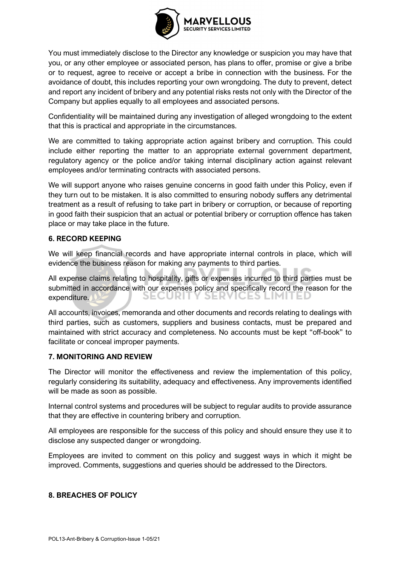

You must immediately disclose to the Director any knowledge or suspicion you may have that you, or any other employee or associated person, has plans to offer, promise or give a bribe or to request, agree to receive or accept a bribe in connection with the business. For the avoidance of doubt, this includes reporting your own wrongdoing. The duty to prevent, detect and report any incident of bribery and any potential risks rests not only with the Director of the Company but applies equally to all employees and associated persons.

Confidentiality will be maintained during any investigation of alleged wrongdoing to the extent that this is practical and appropriate in the circumstances.

We are committed to taking appropriate action against bribery and corruption. This could include either reporting the matter to an appropriate external government department, regulatory agency or the police and/or taking internal disciplinary action against relevant employees and/or terminating contracts with associated persons.

We will support anyone who raises genuine concerns in good faith under this Policy, even if they turn out to be mistaken. It is also committed to ensuring nobody suffers any detrimental treatment as a result of refusing to take part in bribery or corruption, or because of reporting in good faith their suspicion that an actual or potential bribery or corruption offence has taken place or may take place in the future.

## **6. RECORD KEEPING**

We will keep financial records and have appropriate internal controls in place, which will evidence the business reason for making any payments to third parties.

All expense claims relating to hospitality, gifts or expenses incurred to third parties must be submitted in accordance with our expenses policy and specifically record the reason for the SER SECURIT IES LIMIT expenditure.

All accounts, invoices, memoranda and other documents and records relating to dealings with third parties, such as customers, suppliers and business contacts, must be prepared and maintained with strict accuracy and completeness. No accounts must be kept "off-book" to facilitate or conceal improper payments.

#### **7. MONITORING AND REVIEW**

The Director will monitor the effectiveness and review the implementation of this policy, regularly considering its suitability, adequacy and effectiveness. Any improvements identified will be made as soon as possible.

Internal control systems and procedures will be subject to regular audits to provide assurance that they are effective in countering bribery and corruption.

All employees are responsible for the success of this policy and should ensure they use it to disclose any suspected danger or wrongdoing.

Employees are invited to comment on this policy and suggest ways in which it might be improved. Comments, suggestions and queries should be addressed to the Directors.

# **8. BREACHES OF POLICY**